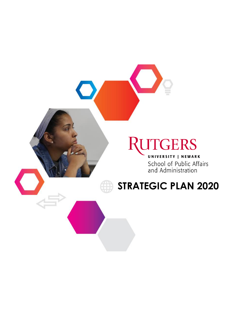# **RUTGERS**

UNIVERSITY | NEWARK School of Public Affairs and Administration

## **STRATEGIC PLAN 2020**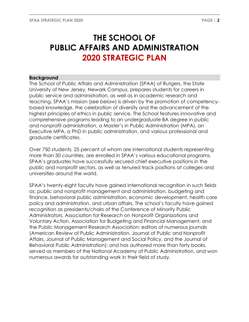### **THE SCHOOL OF PUBLIC AFFAIRS AND ADMINISTRATION 2020 STRATEGIC PLAN**

#### **Background**

The School of Public Affairs and Administration (SPAA) of Rutgers, the State University of New Jersey, Newark Campus, prepares students for careers in public service and administration, as well as in academic research and teaching. SPAA's mission (see below) is driven by the promotion of competencybased knowledge, the celebration of diversity and the advancement of the highest principles of ethics in public service. The School features innovative and comprehensive programs leading to an undergraduate BA degree in public and nonprofit administration, a Master's in Public Administration (MPA), an Executive MPA, a PhD in public administration, and various professional and graduate certificates.

Over 750 students, 25 percent of whom are international students representing more than 30 countries, are enrolled in SPAA's various educational programs. SPAA's graduates have successfully secured chief executive positions in the public and nonprofit sectors, as well as tenured track positions at colleges and universities around the world.

SPAA's twenty-eight faculty have gained international recognition in such fields as: public and nonprofit management and administration, budgeting and finance, behavioral public administration, economic development, health care policy and administration, and urban affairs. The school's faculty have gained recognition as presidents/chairs of the Conference of Minority Public Administrators, Association for Research on Nonprofit Organizations and Voluntary Action, Association for Budgeting and Financial Management, and the Public Management Research Association; editors of numerous journals (American Review of Public Administration, Journal of Public and Nonprofit Affairs, Journal of Public Management and Social Policy, and the Journal of Behavioral Public Administration); and has authored more than forty books, served as members of the National Academy of Public Administration, and won numerous awards for outstanding work in their field of study.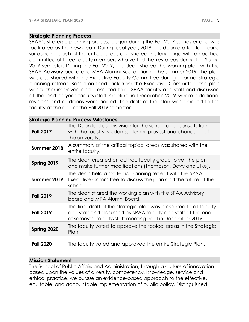#### **Strategic Planning Process**

SPAA's strategic planning process began during the Fall 2017 semester and was facilitated by the new dean. During fiscal year, 2018, the dean drafted language surrounding each of the critical areas and shared this language with an ad hoc committee of three faculty members who vetted the key areas during the Spring 2019 semester. During the Fall 2019, the dean shared the working plan with the SPAA Advisory board and MPA Alumni Board. During the summer 2019, the plan was also shared with the Executive Faculty Committee during a formal strategic planning retreat. Based on feedback from the Executive Committee, the plan was further improved and presented to all SPAA faculty and staff and discussed at the end of year faculty/staff meeting in December 2019 where additional revisions and additions were added. The draft of the plan was emailed to the faculty at the end of the Fall 2019 semester.

#### **Strategic Planning Process Milestones Fall 2017** The Dean laid out his vision for the school after consultation with the faculty, students, alumni, provost and chancellor of the university. **Summer 2018** A summary of the critical topical areas was shared with the entire faculty. **Spring 2019** The dean created an ad hoc faculty group to vet the plan and make further modifications (Thompson, Davy and Jilke). **Summer 2019** The dean held a strategic planning retreat with the SPAA Executive Committee to discuss the plan and the future of the school. **Fall 2019** The dean shared the working plan with the SPAA Advisory board and MPA Alumni Board. **Fall 2019** The final draft of the strategic plan was presented to all faculty and staff and discussed by SPAA faculty and staff at the end of semester faculty/staff meeting held in December 2019. **Spring 2020** The faculty voted to approve the topical areas in the Strategic Plan. **Fall 2020** The faculty voted and approved the entire Strategic Plan.

#### **Mission Statement**

The School of Public Affairs and Administration, through a culture of innovation based upon the values of diversity, competency, knowledge, service and ethical practice, we pursue an evidence-based approach to the effective, equitable, and accountable implementation of public policy. Distinguished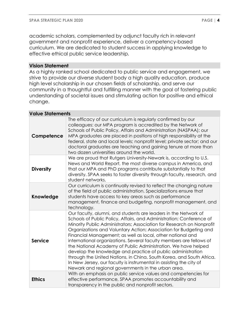academic scholars, complemented by adjunct faculty rich in relevant government and nonprofit experience, deliver a competency-based curriculum. We are dedicated to student success in applying knowledge to effective ethical public service leadership.

#### **Vision Statement**

As a highly ranked school dedicated to public service and engagement, we strive to provide our diverse student body a high quality education, produce high level scholarship in our chosen fields of scholarship, and serve our community in a thoughtful and fulfilling manner with the goal of fostering public understanding of societal issues and stimulating action for positive and ethical change.

#### **Value Statements**

| Competence       | The efficacy of our curriculum is regularly confirmed by our<br>colleagues: our MPA program is accredited by the Network of<br>Schools of Public Policy, Affairs and Administration (NASPAA); our<br>MPA graduates are placed in positions of high responsibility at the<br>federal, state and local levels; nonprofit level; private sector; and our<br>doctoral graduates are teaching and gaining tenure at more than<br>two dozen universities around the world.                                                                                                                                                                                                                                                                                            |
|------------------|-----------------------------------------------------------------------------------------------------------------------------------------------------------------------------------------------------------------------------------------------------------------------------------------------------------------------------------------------------------------------------------------------------------------------------------------------------------------------------------------------------------------------------------------------------------------------------------------------------------------------------------------------------------------------------------------------------------------------------------------------------------------|
| <b>Diversity</b> | We are proud that Rutgers University-Newark is, according to U.S.<br>News and World Report, the most diverse campus in America, and<br>that our MPA and PhD programs contribute substantially to that<br>diversity. SPAA seeks to foster diversity through faculty, research, and<br>student networks.                                                                                                                                                                                                                                                                                                                                                                                                                                                          |
| Knowledge        | Our curriculum is continually revised to reflect the changing nature<br>of the field of public administration. Specializations ensure that<br>students have access to key areas such as performance<br>management, finance and budgeting, nonprofit management, and<br>technology.                                                                                                                                                                                                                                                                                                                                                                                                                                                                              |
| <b>Service</b>   | Our faculty, alumni, and students are leaders in the Network of<br>Schools of Public Policy, Affairs, and Administration; Conference of<br>Minority Public Administrators; Association for Research on Nonprofit<br>Organizations and Voluntary Action; Association for Budgeting and<br>Financial Management; as well as local, other national and<br>international organizations. Several faculty members are fellows of<br>the National Academy of Public Administration. We have helped<br>develop the knowledge and practice of public administration<br>through the United Nations, in China, South Korea, and South Africa.<br>In New Jersey, our faculty is instrumental in assisting the city of<br>Newark and regional governments in the urban area. |
| <b>Ethics</b>    | With an emphasis on public service values and competencies for<br>effective performance, SPAA promotes accountability and<br>transparency in the public and nonprofit sectors.                                                                                                                                                                                                                                                                                                                                                                                                                                                                                                                                                                                  |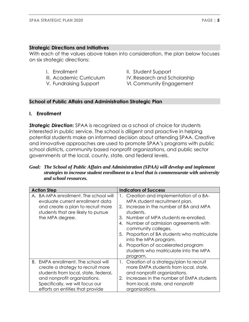#### **Strategic Directions and Initiatives**

With each of the values above taken into consideration, the plan below focuses on six strategic directions:

- 
- 
- 
- I. Enrollment II. Student Support
- III. Academic Curriculum IV. Research and Scholarship
- V. Fundraising Support VI. Community Engagement

#### **School of Public Affairs and Administration Strategic Plan**

#### **I. Enrollment**

*Strategic Direction:* SPAA is recognized as a school of choice for students interested in public service. The school is diligent and proactive in helping potential students make an informed decision about attending SPAA. Creative and innovative approaches are used to promote SPAA's programs with public school districts, community based nonprofit organizations, and public sector governments at the local, county, state, and federal levels.

#### *Goal: The School of Public Affairs and Administration (SPAA) will develop and implement strategies to increase student enrollment to a level that is commensurate with university and school resources.*

| <b>Action Step</b>                                                                                                                                                                                                      | <b>Indicators of Success</b>                                                                                                                                                                                                                                                                                                                                                                                                     |  |  |
|-------------------------------------------------------------------------------------------------------------------------------------------------------------------------------------------------------------------------|----------------------------------------------------------------------------------------------------------------------------------------------------------------------------------------------------------------------------------------------------------------------------------------------------------------------------------------------------------------------------------------------------------------------------------|--|--|
| A. BA-MPA enrollment. The school will<br>evaluate current enrollment data<br>and create a plan to recruit more<br>students that are likely to pursue<br>the MPA degree.                                                 | 1. Creation and implementation of a BA-<br>MPA student recruitment plan.<br>Increase in the number of BA and MPA<br>2.<br>students.<br>Number of MPA students re-enrolled.<br>3.<br>Number of admission agreements with<br>4.<br>community colleges.<br>Proportion of BA students who matriculate<br>5.<br>into the MPA program.<br>Proportion of accelerated program<br>6.<br>students who matriculate into the MPA<br>program. |  |  |
| B. EMPA enrollment. The school will<br>create a strategy to recruit more<br>students from local, state, federal,<br>and nonprofit organizations.<br>Specifically, we will focus our<br>efforts on entities that provide | Creation of a strategy/plan to recruit<br>1.<br>more EMPA students from local, state,<br>and nonprofit organizations.<br>Increases in the number of EMPA students<br>2.<br>from local, state, and nonprofit<br>organizations.                                                                                                                                                                                                    |  |  |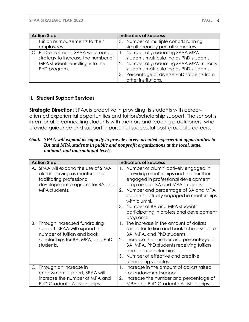| <b>Action Step</b>                    | <b>Indicators of Success</b>               |
|---------------------------------------|--------------------------------------------|
| tuition reimbursements to their       | 3. Number of multiple cohorts running      |
| employees.                            | simultaneously per fall semesters.         |
| C. PhD enrollment. SPAA will create a | Number of graduating SPAA MPA              |
| strategy to increase the number of    | students matriculating as PhD students.    |
| MPA students enrolling into the       | 2. Number of graduating SPAA MPA minority  |
| PhD program.                          | students matriculating as PhD students.    |
|                                       | 3. Percentage of diverse PhD students from |
|                                       | other institutions.                        |

#### **II. Student Support Services**

**Strategic Direction:** SPAA is proactive in providing its students with careeroriented experiential opportunities and tuition/scholarship support. The school is intentional in connecting students with mentors and leading practitioners, who provide guidance and support in pursuit of successful post-graduate careers.

*Goal: SPAA will expand its capacity to provide career-oriented experiential opportunities to BA and MPA students in public and nonprofit organizations at the local, state, national, and international levels.*

| <b>Action Step</b>                                                                                                                                    | <b>Indicators of Success</b>                                                                                                                                                                                                                                                                                                                                             |  |  |
|-------------------------------------------------------------------------------------------------------------------------------------------------------|--------------------------------------------------------------------------------------------------------------------------------------------------------------------------------------------------------------------------------------------------------------------------------------------------------------------------------------------------------------------------|--|--|
| A. SPAA will expand the use of SPAA<br>alumni serving as mentors and<br>facilitating professional<br>development programs for BA and<br>MPA students. | Number of alumni actively engaged in<br>1.<br>providing mentorships and the number<br>engaged in professional development<br>programs for BA and MPA students.<br>Number and percentage of BA and MPA<br>2.<br>students actually engaged in mentorships<br>with alumni.<br>Number of BA and MPA students<br>3.<br>participating in professional development<br>programs. |  |  |
| Through increased fundraising<br>В.<br>support, SPAA will expand the<br>number of tuition and book<br>scholarships for BA, MPA, and PhD<br>students.  | The increase in the amount of dollars<br>$\mathbf{1}_{\cdot}$<br>raised for tuition and book scholarships for<br>BA, MPA, and PhD students.<br>Increase the number and percentage of<br>2.<br>BA, MPA, PhD students receiving tuition<br>and book scholarships.<br>Number of effective and creative<br>3.<br>fundraising vehicles.                                       |  |  |
| C. Through an increase in<br>endowment support, SPAA will<br>increase the number of MPA and<br>PhD Graduate Assistantships.                           | Increase in the amount of dollars raised<br>1.<br>for endowment support.<br>Increase the number and percentage of<br>2.<br>MPA and PhD Graduate Assistantships.                                                                                                                                                                                                          |  |  |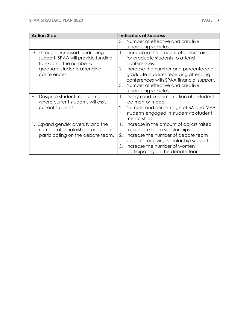| <b>Action Step</b>                                                                                                                                  | <b>Indicators of Success</b>                                                                                                                                                                                                                                                                             |
|-----------------------------------------------------------------------------------------------------------------------------------------------------|----------------------------------------------------------------------------------------------------------------------------------------------------------------------------------------------------------------------------------------------------------------------------------------------------------|
|                                                                                                                                                     | 3. Number of effective and creative<br>fundraising vehicles.                                                                                                                                                                                                                                             |
| Through increased fundraising<br>D.<br>support, SPAA will provide funding<br>to expand the number of<br>graduate students attending<br>conferences. | Increase in the amount of dollars raised<br>1.<br>for graduate students to attend<br>conferences.<br>Increase the number and percentage of<br>2.<br>graduate students receiving attending<br>conferences with SPAA financial support.<br>Number of effective and creative<br>3.<br>fundraising vehicles. |
| Design a student mentor model<br>Е.<br>where current students will assist<br>current students.                                                      | Design and implementation of a student-<br>1.<br>led mentor model.<br>Number and percentage of BA and MPA<br>2.<br>students engaged in student-to-student<br>mentorships.                                                                                                                                |
| F. Expand gender diversity and the<br>number of scholarships for students<br>participating on the debate team.                                      | Increase in the amount of dollars raised<br>$\mathbf{1}_{\cdot}$<br>for debate team scholarships.<br>Increase the number of debate team<br>2.<br>students receiving scholarship support.<br>Increase the number of women<br>3.<br>participating on the debate team.                                      |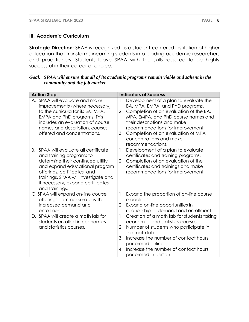#### **III. Academic Curriculum**

**Strategic Direction:** SPAA is recognized as a student-centered institution of higher education that transforms incoming students into leading academic researchers and practitioners. Students leave SPAA with the skills required to be highly successful in their career of choice*.*

| Goal: SPAA will ensure that all of its academic programs remain viable and salient in the |
|-------------------------------------------------------------------------------------------|
| community and the job market.                                                             |

| <b>Action Step</b>                                                                                                                                                                                                                                                         | <b>Indicators of Success</b>                                                                                                                                                                                                                                                                                                   |
|----------------------------------------------------------------------------------------------------------------------------------------------------------------------------------------------------------------------------------------------------------------------------|--------------------------------------------------------------------------------------------------------------------------------------------------------------------------------------------------------------------------------------------------------------------------------------------------------------------------------|
| A. SPAA will evaluate and make<br>improvements (where necessary)<br>to the curricula for its BA, MPA,<br>EMPA and PhD programs. This<br>includes an evaluation of course<br>names and description, courses<br>offered and concentrations.                                  | Development of a plan to evaluate the<br>BA, MPA, EMPA, and PhD programs.<br>Completion of an evaluation of the BA,<br>2.<br>MPA, EMPA, and PhD course names and<br>their descriptions and make<br>recommendations for improvement.<br>Completion of an evaluation of MPA<br>3.<br>concentrations and make<br>recommendations. |
| SPAA will evaluate all certificate<br>В.<br>and training programs to<br>determine their continued utility<br>and expand educational program<br>offerings, certificates, and<br>trainings. SPAA will investigate and<br>if necessary, expand certificates<br>and trainings. | Development of a plan to evaluate<br>1.<br>certificates and training programs.<br>Completion of an evaluation of the<br>2.<br>certificates and trainings and make<br>recommendations for improvement.                                                                                                                          |
| C. SPAA will expand on-line course<br>offerings commensurate with<br>increased demand and<br>enrollment.                                                                                                                                                                   | Expand the proportion of on-line course<br>1.<br>modalities.<br>Expand on-line opportunities in<br>2.<br>relationship to demand and enrollment.                                                                                                                                                                                |
| D. SPAA will create a math lab for<br>students enrolled in economics<br>and statistics courses.                                                                                                                                                                            | 1.<br>Creation of a math lab for students taking<br>economics and statistics courses.<br>Number of students who participate in<br>2.<br>the math lab.<br>Increase the number of contact hours<br>3.<br>performed online.<br>Increase the number of contact hours<br>4.<br>performed in person.                                 |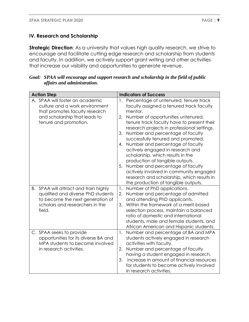#### **IV. Research and Scholarship**

**Strategic Direction:** As a university that values high quality research, we strive to encourage and facilitate cutting edge research and scholarship from students and faculty. In addition, we actively support grant writing and other activities that increase our visibility and opportunities to generate revenue.

| Goal: SPAA will encourage and support research and scholarship in the field of public |
|---------------------------------------------------------------------------------------|
| affairs and administration.                                                           |

| <b>Action Step</b>                                                                                                                                              | <b>Indicators of Success</b>                                                                                                                                                                                                                                                                                                                                                                                                                                                                                                                                                                                                                            |
|-----------------------------------------------------------------------------------------------------------------------------------------------------------------|---------------------------------------------------------------------------------------------------------------------------------------------------------------------------------------------------------------------------------------------------------------------------------------------------------------------------------------------------------------------------------------------------------------------------------------------------------------------------------------------------------------------------------------------------------------------------------------------------------------------------------------------------------|
| A. SPAA will foster an academic<br>culture and a work environment<br>that promotes faculty research<br>and scholarship that leads to<br>tenure and promotion.   | 1. Percentage of untenured, tenure track<br>faculty assigned a tenured track faculty<br>mentor.<br>Number of opportunities untenured,<br>2.<br>tenure track faculty have to present their<br>research projects in professional settings.<br>Number and percentage of faculty<br>3.<br>successfully tenured and promoted.<br>Number and percentage of faculty<br>4.<br>actively engaged in research and<br>scholarship, which results in the<br>production of tangible outputs.<br>Number and percentage of faculty<br>5.<br>actively involved in community engaged<br>research and scholarship, which results in<br>the production of tangible outputs. |
| SPAA will attract and train highly<br>В.<br>qualified and diverse PhD students<br>to become the next generation of<br>scholars and researchers in the<br>field. | Number of PhD applications.<br>1.<br>Number and percentage of admitted<br>2.<br>and attending PhD applicants.<br>Within the framework of a merit-based<br>3.<br>selection process, maintain a balanced<br>ratio of domestic and international<br>students, male and female students, and<br>African American and Hispanic students.                                                                                                                                                                                                                                                                                                                     |
| C. SPAA seeks to provide<br>opportunities for its diverse BA and<br>MPA students to become involved<br>in research activities.                                  | Number and percentage of BA and MPA<br>$\mathbf{1}$ .<br>students actively engaged in research<br>activities with faculty.<br>Number and percentage of faculty<br>2.<br>having a student engaged in research.<br>Increase in amount of financial resources<br>3.<br>for students to become actively involved<br>in research activities.                                                                                                                                                                                                                                                                                                                 |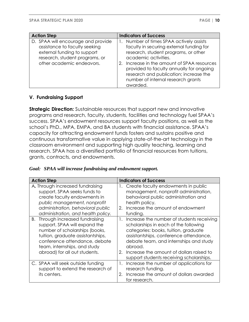| <b>Action Step</b>                                                                                                                                                | <b>Indicators of Success</b>                                                                                                                                                                                                                                                                                                                |
|-------------------------------------------------------------------------------------------------------------------------------------------------------------------|---------------------------------------------------------------------------------------------------------------------------------------------------------------------------------------------------------------------------------------------------------------------------------------------------------------------------------------------|
| D. SPAA will encourage and provide<br>assistance to faculty seeking<br>external funding to support<br>research, student programs, or<br>other academic endeavors. | Number of times SPAA actively assists<br>faculty in securing external funding for<br>research, student programs, or other<br>academic activities.<br>Increase in the amount of SPAA resources<br>2.<br>provided to faculty annually for ongoing<br>research and publication; increase the<br>number of internal research grants<br>awarded. |

#### **V. Fundraising Support**

**Strategic Direction:** Sustainable resources that support new and innovative programs and research, faculty, students, facilities and technology fuel SPAA's success. SPAA's endowment resources support faculty positions, as well as the school's PhD., MPA, EMPA, and BA students with financial assistance. SPAA's capacity for attracting endowment funds fosters and sustains positive and continuous transformative value in applying state-of-the-art technology in the classroom environment and supporting high quality teaching, learning and research. SPAA has a diversified portfolio of financial resources from tuitions, grants, contracts, and endowments.

|  |  |  |  |  | Goal: SPAA will increase fundraising and endowment support. |
|--|--|--|--|--|-------------------------------------------------------------|
|--|--|--|--|--|-------------------------------------------------------------|

| <b>Action Step</b>                                                                                                                                                                                                                            | <b>Indicators of Success</b>                                                                                                                                                                                                                                                                                                  |
|-----------------------------------------------------------------------------------------------------------------------------------------------------------------------------------------------------------------------------------------------|-------------------------------------------------------------------------------------------------------------------------------------------------------------------------------------------------------------------------------------------------------------------------------------------------------------------------------|
| A. Through increased fundraising<br>support, SPAA seeks funds to<br>create faculty endowments in<br>public management, nonprofit<br>administration, behavioral public<br>administration, and health policy.                                   | Create faculty endowments in public<br>management, nonprofit administration,<br>behavioral public administration and<br>health policy.<br>Increase the amount of endowment<br>2.<br>funding.                                                                                                                                  |
| Through increased fundraising<br>В.<br>support, SPAA will expand the<br>number of scholarships (books,<br>tuition, graduate assistantships,<br>conference attendance, debate<br>team, internships, and study<br>abroad) for all out students. | Increase the number of students receiving<br>1.<br>scholarships in each of the following<br>categories: books, tuition, graduate<br>assistantships, conference attendance,<br>debate team, and internships and study<br>abroad.<br>Increase the amount of dollars raised to<br>2.<br>support students receiving scholarships. |
| C. SPAA will seek outside funding<br>support to extend the research of<br>its centers.                                                                                                                                                        | Increase the number of applications for<br>1.<br>research funding.<br>Increase the amount of dollars awarded<br>2.<br>for research.                                                                                                                                                                                           |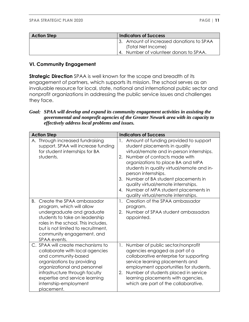| <b>Action Step</b> | <b>Indicators of Success</b>              |
|--------------------|-------------------------------------------|
|                    | 13. Amount of increased donations to SPAA |
|                    | (Total Net Income)                        |
|                    | 4. Number of volunteer donors to SPAA.    |

#### **VI. Community Engagement**

**Strategic Direction** SPAA is well known for the scope and breadth of its engagement of partners, which supports its mission. The school serves as an invaluable resource for local, state, national and international public sector and nonprofit organizations in addressing the public service issues and challenges they face.

#### *Goal: SPAA will develop and expand its community engagement activities in assisting the governmental and nonprofit agencies of the Greater Newark area with its capacity to effectively address local problems and issues.*

| <b>Action Step</b>                                                                                                                                                                                                                                                   | <b>Indicators of Success</b>                                                                                                                                                                                                                                                                                                                                                                                                                     |
|----------------------------------------------------------------------------------------------------------------------------------------------------------------------------------------------------------------------------------------------------------------------|--------------------------------------------------------------------------------------------------------------------------------------------------------------------------------------------------------------------------------------------------------------------------------------------------------------------------------------------------------------------------------------------------------------------------------------------------|
| A. Through increased fundraising<br>support, SPAA will increase funding<br>for student internships for BA<br>students.                                                                                                                                               | Amount of funding provided to support<br>1.<br>student placements in quality<br>virtual/remote and in-person internships.<br>Number of contacts made with<br>2.<br>organizations to place BA and MPA<br>students in quality virtual/remote and in-<br>person internships.<br>Number of BA student placements in<br>3.<br>quality virtual/remote internships.<br>Number of MPA student placements in<br>4.<br>quality virtual/remote internships. |
| Create the SPAA ambassador<br>B.<br>program, which will allow<br>undergraduate and graduate<br>students to take on leadership<br>roles in the school. This includes,<br>but is not limited to recruitment,<br>community engagement, and<br>SPAA events.              | Creation of the SPAA ambassador<br>1.<br>program.<br>Number of SPAA student ambassadors<br>2.<br>appointed.                                                                                                                                                                                                                                                                                                                                      |
| C. SPAA will create mechanisms to<br>collaborate with local agencies<br>and community-based<br>organizations by providing<br>organizational and personnel<br>infrastructure through faculty<br>expertise and service learning<br>internship-employment<br>placement. | Number of public sector/nonprofit<br>1.<br>agencies engaged as part of a<br>collaborative enterprise for supporting<br>service learning placements and<br>employment opportunities for students.<br>Number of students placed in service<br>2.<br>learning placements with agencies,<br>which are part of the collaborative.                                                                                                                     |